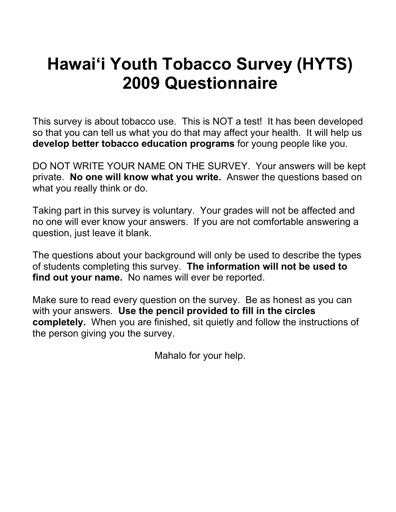# **Hawai'i Youth Tobacco Survey (HYTS) 2009 Questionnaire**

This survey is about tobacco use. This is NOT a test! It has been developed so that you can tell us what you do that may affect your health. It will help us **develop better tobacco education programs** for young people like you.

DO NOT WRITE YOUR NAME ON THE SURVEY. Your answers will be kept private. **No one will know what you write.** Answer the questions based on what you really think or do.

Taking part in this survey is voluntary. Your grades will not be affected and no one will ever know your answers. If you are not comfortable answering a question, just leave it blank.

The questions about your background will only be used to describe the types of students completing this survey. **The information will not be used to find out your name.** No names will ever be reported.

Make sure to read every question on the survey. Be as honest as you can with your answers. **Use the pencil provided to fill in the circles completely.** When you are finished, sit quietly and follow the instructions of the person giving you the survey.

Mahalo for your help.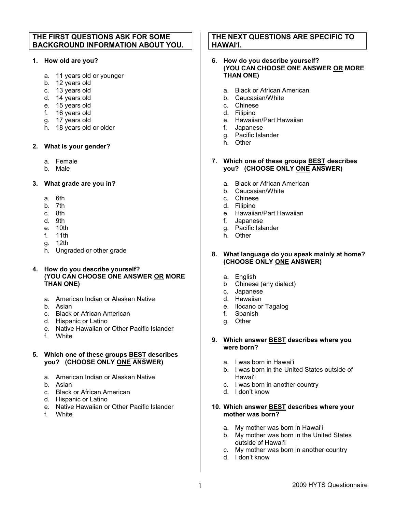# **THE FIRST QUESTIONS ASK FOR SOME BACKGROUND INFORMATION ABOUT YOU.**

## **1. How old are you?**

- a. 11 years old or younger
- b. 12 years old
- c. 13 years old
- d. 14 years old
- e. 15 years old
- f. 16 years old
- g. 17 years old
- h. 18 years old or older

## **2. What is your gender?**

- a. Female
- b. Male

## **3. What grade are you in?**

- a. 6th
- b. 7th
- c. 8th
- d. 9th
- e. 10th
- f. 11th
- g. 12th
- h. Ungraded or other grade

#### **4. How do you describe yourself? (YOU CAN CHOOSE ONE ANSWER OR MORE THAN ONE)**

- a. American Indian or Alaskan Native
- b. Asian
- c. Black or African American
- d. Hispanic or Latino
- e. Native Hawaiian or Other Pacific Islander
- f. White

## **5. Which one of these groups BEST describes you? (CHOOSE ONLY ONE ANSWER)**

- a. American Indian or Alaskan Native
- b. Asian
- c. Black or African American
- d. Hispanic or Latino
- e. Native Hawaiian or Other Pacific Islander
- f. White

# **THE NEXT QUESTIONS ARE SPECIFIC TO HAWAI'I.**

#### **6. How do you describe yourself? (YOU CAN CHOOSE ONE ANSWER OR MORE THAN ONE)**

- a. Black or African American
- b. Caucasian/White
- c. Chinese
- d. Filipino
- e. Hawaiian/Part Hawaiian
- f. Japanese
- g. Pacific Islander
- h. Other

#### **7. Which one of these groups BEST describes you? (CHOOSE ONLY ONE ANSWER)**

- a. Black or African American
- b. Caucasian/White
- c. Chinese
- d. Filipino
- e. Hawaiian/Part Hawaiian
- f. Japanese
- g. Pacific Islander
- h. Other

#### **8. What language do you speak mainly at home? (CHOOSE ONLY ONE ANSWER)**

- a. English
- b Chinese (any dialect)
- c. Japanese
- d. Hawaiian
- e. Ilocano or Tagalog
- f. Spanish
- g. Other

#### **9. Which answer BEST describes where you were born?**

- a. I was born in Hawai'i
- b. I was born in the United States outside of Hawai'i
- c. I was born in another country
- d. I don't know

#### **10. Which answer BEST describes where your mother was born?**

- a. My mother was born in Hawai'i
- b. My mother was born in the United States outside of Hawai'i
- c. My mother was born in another country
- d. I don't know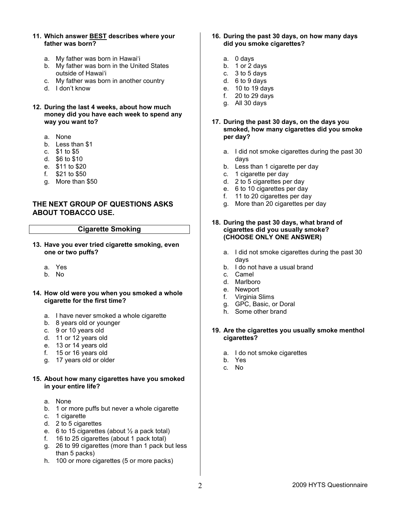- **11. Which answer BEST describes where your father was born?**
	- a. My father was born in Hawai'i
	- b. My father was born in the United States outside of Hawai'i
	- c. My father was born in another country
	- d. I don't know
- **12. During the last 4 weeks, about how much money did you have each week to spend any way you want to?**
	- a. None
	- b. Less than \$1
	- c. \$1 to \$5
	- d. \$6 to \$10
	- e. \$11 to \$20
	- f. \$21 to \$50
	- g. More than \$50

# **THE NEXT GROUP OF QUESTIONS ASKS ABOUT TOBACCO USE.**

## **Cigarette Smoking**

- **13. Have you ever tried cigarette smoking, even one or two puffs?**
	- a. Yes
	- b. No
- **14. How old were you when you smoked a whole cigarette for the first time?**
	- a. I have never smoked a whole cigarette
	- b. 8 years old or younger
	- c. 9 or 10 years old
	- d. 11 or 12 years old
	- e. 13 or 14 years old
	- f. 15 or 16 years old
	- g. 17 years old or older

#### **15. About how many cigarettes have you smoked in your entire life?**

- a. None
- b. 1 or more puffs but never a whole cigarette
- c. 1 cigarette
- d. 2 to 5 cigarettes
- e. 6 to 15 cigarettes (about  $\frac{1}{2}$  a pack total)
- f. 16 to 25 cigarettes (about 1 pack total)
- g. 26 to 99 cigarettes (more than 1 pack but less than 5 packs)
- h. 100 or more cigarettes (5 or more packs)
- **16. During the past 30 days, on how many days did you smoke cigarettes?** 
	- a. 0 days
	- b. 1 or 2 days
	- c. 3 to 5 days
	- d. 6 to 9 days
	- e. 10 to 19 days
	- f. 20 to 29 days
	- g. All 30 days
- **17. During the past 30 days, on the days you smoked, how many cigarettes did you smoke per day?**
	- a. I did not smoke cigarettes during the past 30 days
	- b. Less than 1 cigarette per day
	- c. 1 cigarette per day
	- d. 2 to 5 cigarettes per day
	- e. 6 to 10 cigarettes per day
	- f. 11 to 20 cigarettes per day
	- g. More than 20 cigarettes per day

#### **18. During the past 30 days, what brand of cigarettes did you usually smoke? (CHOOSE ONLY ONE ANSWER)**

- a. I did not smoke cigarettes during the past 30 days
- b. I do not have a usual brand
- c. Camel
- d. Marlboro
- e. Newport
- f. Virginia Slims
- g. GPC, Basic, or Doral
- h. Some other brand
- **19. Are the cigarettes you usually smoke menthol cigarettes?**
	- a. I do not smoke cigarettes
	- b. Yes
	- c. No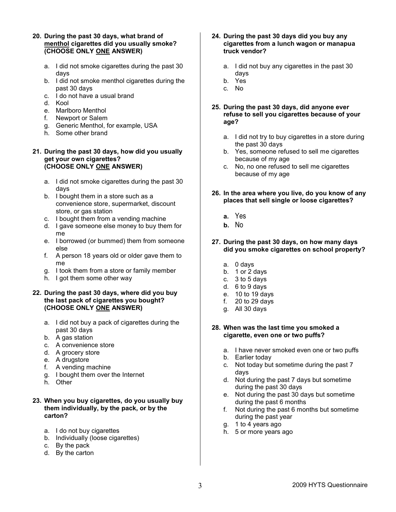- **20. During the past 30 days, what brand of menthol cigarettes did you usually smoke? (CHOOSE ONLY ONE ANSWER)**
	- a. I did not smoke cigarettes during the past 30 days
	- b. I did not smoke menthol cigarettes during the past 30 days
	- c. I do not have a usual brand
	- d. Kool
	- e. Marlboro Menthol
	- f. Newport or Salem
	- g. Generic Menthol, for example, USA
	- h. Some other brand
- **21. During the past 30 days, how did you usually get your own cigarettes? (CHOOSE ONLY ONE ANSWER)**
	- a. I did not smoke cigarettes during the past 30 days
	- b. I bought them in a store such as a convenience store, supermarket, discount store, or gas station
	- c. I bought them from a vending machine
	- d. I gave someone else money to buy them for me
	- e. I borrowed (or bummed) them from someone else
	- f. A person 18 years old or older gave them to me
	- g. I took them from a store or family member
	- h. I got them some other way

## **22. During the past 30 days, where did you buy the last pack of cigarettes you bought? (CHOOSE ONLY ONE ANSWER)**

- a. I did not buy a pack of cigarettes during the past 30 days
- b. A gas station
- c. A convenience store
- d. A grocery store
- e. A drugstore
- f. A vending machine
- g. I bought them over the Internet
- h. Other

## **23. When you buy cigarettes, do you usually buy them individually, by the pack, or by the carton?**

- a. I do not buy cigarettes
- b. Individually (loose cigarettes)
- c. By the pack
- d. By the carton

## **24. During the past 30 days did you buy any cigarettes from a lunch wagon or manapua truck vendor?**

- a. I did not buy any cigarettes in the past 30 days
- b. Yes
- c. No
- **25. During the past 30 days, did anyone ever refuse to sell you cigarettes because of your age?**
	- a. I did not try to buy cigarettes in a store during the past 30 days
	- b. Yes, someone refused to sell me cigarettes because of my age
	- c. No, no one refused to sell me cigarettes because of my age
- **26. In the area where you live, do you know of any places that sell single or loose cigarettes?**
	- **a.** Yes
	- **b.** No
- **27. During the past 30 days, on how many days did you smoke cigarettes on school property?** 
	- a. 0 days
	- b. 1 or 2 days
	- c. 3 to 5 days
	- d. 6 to 9 days
	- e. 10 to 19 days
	- f. 20 to 29 days
	- g. All 30 days

## **28. When was the last time you smoked a cigarette, even one or two puffs?**

- a. I have never smoked even one or two puffs
- b. Earlier today
- c. Not today but sometime during the past 7 days
- d. Not during the past 7 days but sometime during the past 30 days
- e. Not during the past 30 days but sometime during the past 6 months
- f. Not during the past 6 months but sometime during the past year
- g. 1 to 4 years ago
- h. 5 or more years ago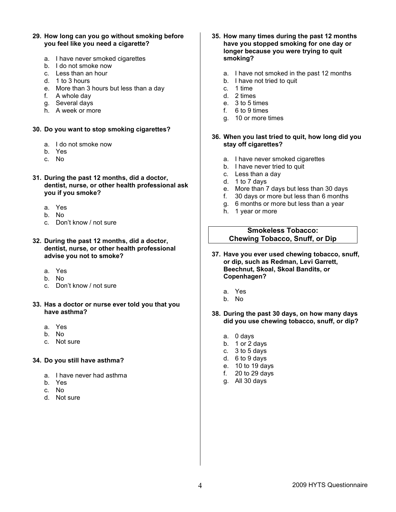- **29. How long can you go without smoking before you feel like you need a cigarette?**
	- a. I have never smoked cigarettes
	- b. I do not smoke now
	- c. Less than an hour
	- d. 1 to 3 hours
	- e. More than 3 hours but less than a day
	- f. A whole day
	- g. Several davs
	- h. A week or more

#### **30. Do you want to stop smoking cigarettes?**

- a. I do not smoke now
- b. Yes
- c. No
- **31. During the past 12 months, did a doctor, dentist, nurse, or other health professional ask you if you smoke?**
	- a. Yes
	- b. No
	- c. Don't know / not sure
- **32. During the past 12 months, did a doctor, dentist, nurse, or other health professional advise you not to smoke?**
	- a. Yes
	- b. No
	- c. Don't know / not sure
- **33. Has a doctor or nurse ever told you that you have asthma?**
	- a. Yes
	- b. No
	- c. Not sure

#### **34. Do you still have asthma?**

- a. I have never had asthma
- b. Yes
- c. No
- d. Not sure
- **35. How many times during the past 12 months have you stopped smoking for one day or longer because you were trying to quit smoking?**
	- a. I have not smoked in the past 12 months
	- b. I have not tried to quit
	- c. 1 time
	- d. 2 times
	- e. 3 to 5 times
	- f. 6 to 9 times
	- g. 10 or more times

#### **36. When you last tried to quit, how long did you stay off cigarettes?**

- a. I have never smoked cigarettes
- b. I have never tried to quit
- c. Less than a day
- d. 1 to 7 days
- e. More than 7 days but less than 30 days
- f. 30 days or more but less than 6 months
- g. 6 months or more but less than a year
- h. 1 year or more

## **Smokeless Tobacco: Chewing Tobacco, Snuff, or Dip**

- **37. Have you ever used chewing tobacco, snuff, or dip, such as Redman, Levi Garrett, Beechnut, Skoal, Skoal Bandits, or Copenhagen?**
	- a. Yes
	- b. No
- **38. During the past 30 days, on how many days did you use chewing tobacco, snuff, or dip?** 
	- a. 0 days
	- b. 1 or 2 days
	- c.  $3$  to 5 days
	- d. 6 to 9 days
	- e. 10 to 19 days
	- f. 20 to 29 days
	- g. All 30 days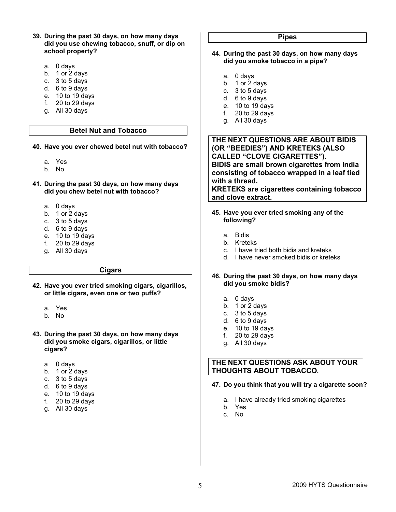- **39. During the past 30 days, on how many days did you use chewing tobacco, snuff, or dip on school property?**
	- a. 0 days
	- b. 1 or 2 days
	- c. 3 to 5 days
	- d. 6 to 9 days
	- e. 10 to 19 days
	- f. 20 to 29 days
	- g. All 30 days

## **Betel Nut and Tobacco**

- **40. Have you ever chewed betel nut with tobacco?**
	- a. Yes
	- b. No
- **41. During the past 30 days, on how many days did you chew betel nut with tobacco?** 
	- a. 0 days
	- b. 1 or 2 days
	- c. 3 to 5 days
	- d. 6 to 9 days
	- e. 10 to 19 days
	- f. 20 to 29 days
	- g. All 30 days

#### **Cigars**

- **42. Have you ever tried smoking cigars, cigarillos, or little cigars, even one or two puffs?** 
	- a. Yes
	- b. No
- **43. During the past 30 days, on how many days did you smoke cigars, cigarillos, or little cigars?**
	- a 0 days
	- b. 1 or 2 days
	- c.  $3$  to 5 days
	- d. 6 to 9 days
	- e. 10 to 19 days
	- f. 20 to 29 days
	- g. All 30 days

## **Pipes**

- **44. During the past 30 days, on how many days did you smoke tobacco in a pipe?**
	- a. 0 days
	- b. 1 or 2 days
	- c. 3 to 5 days
	- d. 6 to 9 days
	- e. 10 to 19 days
	- f. 20 to 29 days
	- g. All 30 days

**THE NEXT QUESTIONS ARE ABOUT BIDIS (OR "BEEDIES") AND KRETEKS (ALSO CALLED "CLOVE CIGARETTES"). BIDIS are small brown cigarettes from India consisting of tobacco wrapped in a leaf tied with a thread. KRETEKS are cigarettes containing tobacco and clove extract.**

- **45. Have you ever tried smoking any of the following?**
	- a. Bidis
	- b. Kreteks
	- c. I have tried both bidis and kreteks
	- d. I have never smoked bidis or kreteks

#### **46. During the past 30 days, on how many days did you smoke bidis?**

- a. 0 days
- b. 1 or 2 days
- c. 3 to 5 days
- d. 6 to 9 days
- e. 10 to 19 days
- f. 20 to 29 days
- g. All 30 days

# **THE NEXT QUESTIONS ASK ABOUT YOUR THOUGHTS ABOUT TOBACCO.**

## **47. Do you think that you will try a cigarette soon?**

- a. I have already tried smoking cigarettes
- b. Yes
- c. No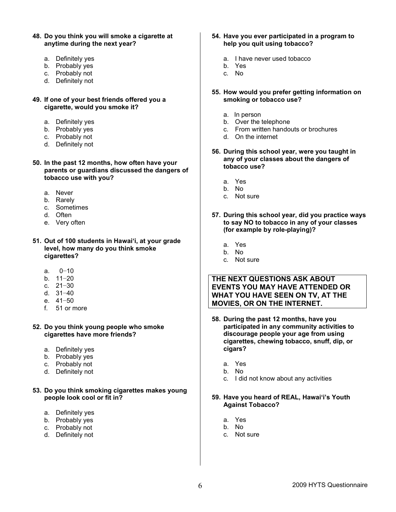- **48. Do you think you will smoke a cigarette at anytime during the next year?**
	- a. Definitely yes
	- b. Probably yes
	- c. Probably not
	- d. Definitely not
- **49. If one of your best friends offered you a cigarette, would you smoke it?** 
	- a. Definitely yes
	- b. Probably yes
	- c. Probably not
	- d. Definitely not
- **50. In the past 12 months, how often have your parents or guardians discussed the dangers of tobacco use with you?**
	- a. Never
	- b. Rarely
	- c. Sometimes
	- d. Often
	- e. Very often
- **51. Out of 100 students in Hawai'i, at your grade level, how many do you think smoke cigarettes?**
	- a. 0−10
	- b. 11−20
	- c. 21−30
	- d. 31−40
	- e. 41−50
	- f. 51 or more
- **52. Do you think young people who smoke cigarettes have more friends?**
	- a. Definitely yes
	- b. Probably yes
	- c. Probably not
	- d. Definitely not
- **53. Do you think smoking cigarettes makes young people look cool or fit in?**
	- a. Definitely yes
	- b. Probably yes
	- c. Probably not
	- d. Definitely not
- **54. Have you ever participated in a program to help you quit using tobacco?**
	- a. I have never used tobacco
	- b. Yes
	- c. No
- **55. How would you prefer getting information on smoking or tobacco use?**
	- a. In person
	- b. Over the telephone
	- c. From written handouts or brochures
	- d. On the internet
- **56. During this school year, were you taught in any of your classes about the dangers of tobacco use?**
	- a. Yes
	- b. No
	- c. Not sure
- **57. During this school year, did you practice ways to say NO to tobacco in any of your classes (for example by role-playing)?**
	- a. Yes
	- b. No
	- c. Not sure

# **THE NEXT QUESTIONS ASK ABOUT EVENTS YOU MAY HAVE ATTENDED OR WHAT YOU HAVE SEEN ON TV, AT THE MOVIES, OR ON THE INTERNET.**

- **58. During the past 12 months, have you participated in any community activities to discourage people your age from using cigarettes, chewing tobacco, snuff, dip, or cigars?**
	- a. Yes
	- b. No
	- c. I did not know about any activities

## **59. Have you heard of REAL, Hawai'i's Youth Against Tobacco?**

- a. Yes
- b. No
- c. Not sure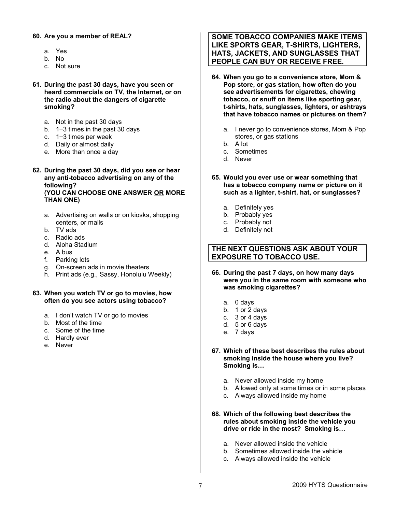## **60. Are you a member of REAL?**

- a. Yes
- b. No
- c. Not sure
- **61. During the past 30 days, have you seen or heard commercials on TV, the Internet, or on the radio about the dangers of cigarette smoking?**
	- a. Not in the past 30 days
	- b. 1−3 times in the past 30 days
	- c. 1−3 times per week
	- d. Daily or almost daily
	- e. More than once a day
- **62. During the past 30 days, did you see or hear any anti-tobacco advertising on any of the following? (YOU CAN CHOOSE ONE ANSWER OR MORE THAN ONE)**
	- a. Advertising on walls or on kiosks, shopping centers, or malls
	- b. TV ads
	- c. Radio ads
	- d. Aloha Stadium
	- e. A bus
	- f. Parking lots
	- g. On-screen ads in movie theaters
	- h. Print ads (e.g., Sassy, Honolulu Weekly)
- **63. When you watch TV or go to movies, how often do you see actors using tobacco?**
	- a. I don't watch TV or go to movies
	- b. Most of the time
	- c. Some of the time
	- d. Hardly ever
	- e. Never

# **SOME TOBACCO COMPANIES MAKE ITEMS LIKE SPORTS GEAR, T-SHIRTS, LIGHTERS, HATS, JACKETS, AND SUNGLASSES THAT PEOPLE CAN BUY OR RECEIVE FREE.**

- **64. When you go to a convenience store, Mom & Pop store, or gas station, how often do you see advertisements for cigarettes, chewing tobacco, or snuff on items like sporting gear, t-shirts, hats, sunglasses, lighters, or ashtrays that have tobacco names or pictures on them?** 
	- a. I never go to convenience stores, Mom & Pop stores, or gas stations
	- b. A lot
	- c. Sometimes
	- d. Never
- **65. Would you ever use or wear something that has a tobacco company name or picture on it such as a lighter, t-shirt, hat, or sunglasses?**
	- a. Definitely yes
	- b. Probably yes
	- c. Probably not
	- d. Definitely not

# **THE NEXT QUESTIONS ASK ABOUT YOUR EXPOSURE TO TOBACCO USE.**

- **66. During the past 7 days, on how many days were you in the same room with someone who was smoking cigarettes?** 
	- a. 0 days
	- b. 1 or 2 days
	- c. 3 or 4 days
	- d. 5 or 6 days
	- e. 7 days
- **67. Which of these best describes the rules about smoking inside the house where you live? Smoking is…**
	- a. Never allowed inside my home
	- b. Allowed only at some times or in some places
	- c. Always allowed inside my home
- **68. Which of the following best describes the rules about smoking inside the vehicle you drive or ride in the most? Smoking is…**
	- a. Never allowed inside the vehicle
	- b. Sometimes allowed inside the vehicle
	- c. Always allowed inside the vehicle